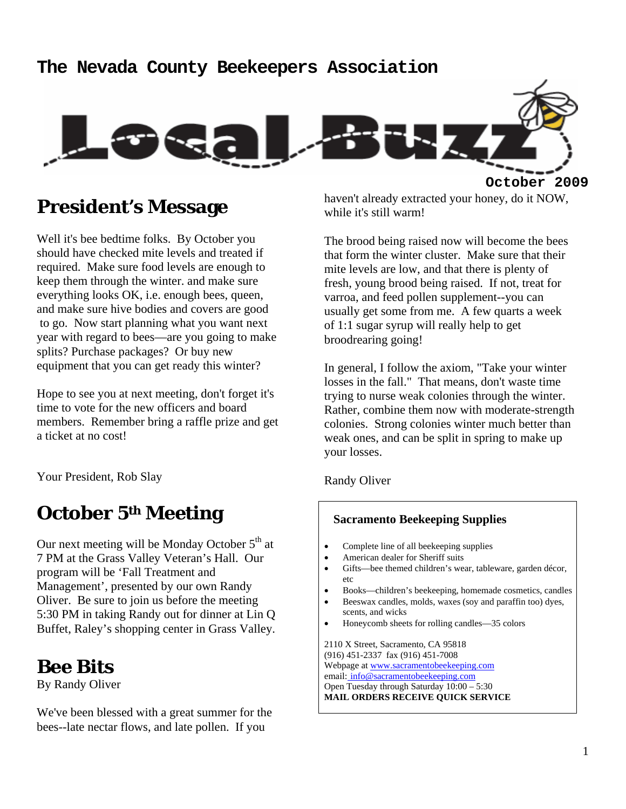#### **The Nevada County Beekeepers Association**



#### **President's Message**

Well it's bee bedtime folks. By October you should have checked mite levels and treated if required. Make sure food levels are enough to keep them through the winter. and make sure everything looks OK, i.e. enough bees, queen, and make sure hive bodies and covers are good to go. Now start planning what you want next year with regard to bees—are you going to make splits? Purchase packages? Or buy new equipment that you can get ready this winter?

Hope to see you at next meeting, don't forget it's time to vote for the new officers and board members. Remember bring a raffle prize and get a ticket at no cost!

Your President, Rob Slay

## **October 5th Meeting**

Our next meeting will be Monday October  $5<sup>th</sup>$  at 7 PM at the Grass Valley Veteran's Hall. Our program will be 'Fall Treatment and Management', presented by our own Randy Oliver. Be sure to join us before the meeting 5:30 PM in taking Randy out for dinner at Lin Q Buffet, Raley's shopping center in Grass Valley.

#### **Bee Bits**

By Randy Oliver

We've been blessed with a great summer for the bees--late nectar flows, and late pollen. If you

haven't already extracted your honey, do it NOW, while it's still warm!

The brood being raised now will become the bees that form the winter cluster. Make sure that their mite levels are low, and that there is plenty of fresh, young brood being raised. If not, treat for varroa, and feed pollen supplement--you can usually get some from me. A few quarts a week of 1:1 sugar syrup will really help to get broodrearing going!

In general, I follow the axiom, "Take your winter losses in the fall." That means, don't waste time trying to nurse weak colonies through the winter. Rather, combine them now with moderate-strength colonies. Strong colonies winter much better than weak ones, and can be split in spring to make up your losses.

Randy Oliver

#### **Sacramento Beekeeping Supplies**

- Complete line of all beekeeping supplies
- American dealer for Sheriff suits
- Gifts—bee themed children's wear, tableware, garden décor, etc
- Books—children's beekeeping, homemade cosmetics, candles
- Beeswax candles, molds, waxes (soy and paraffin too) dyes, scents, and wicks
- Honeycomb sheets for rolling candles—35 colors

2110 X Street, Sacramento, CA 95818 (916) 451-2337 fax (916) 451-7008 Webpage at www.sacramentobeekeeping.com email: info@sacramentobeekeeping.com Open Tuesday through Saturday 10:00 – 5:30 **MAIL ORDERS RECEIVE QUICK SERVICE**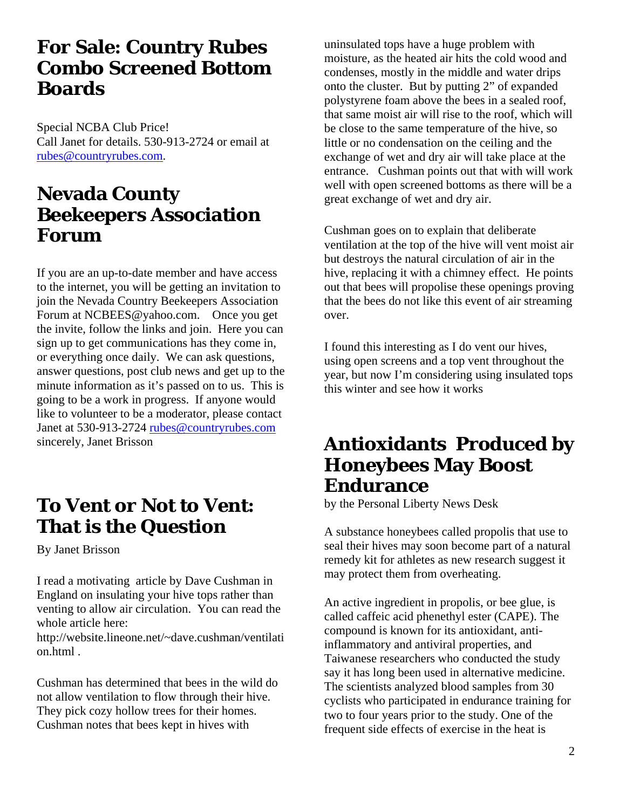#### **For Sale: Country Rubes Combo Screened Bottom Boards**

Special NCBA Club Price! Call Janet for details. 530-913-2724 or email at rubes@countryrubes.com.

## **Nevada County Beekeepers Association Forum**

If you are an up-to-date member and have access to the internet, you will be getting an invitation to join the Nevada Country Beekeepers Association Forum at NCBEES@yahoo.com. Once you get the invite, follow the links and join. Here you can sign up to get communications has they come in, or everything once daily. We can ask questions, answer questions, post club news and get up to the minute information as it's passed on to us. This is going to be a work in progress. If anyone would like to volunteer to be a moderator, please contact Janet at 530-913-2724 rubes@countryrubes.com sincerely, Janet Brisson

## **To Vent or Not to Vent: That is the Question**

By Janet Brisson

I read a motivating article by Dave Cushman in England on insulating your hive tops rather than venting to allow air circulation. You can read the whole article here:

http://website.lineone.net/~dave.cushman/ventilati on.html .

Cushman has determined that bees in the wild do not allow ventilation to flow through their hive. They pick cozy hollow trees for their homes. Cushman notes that bees kept in hives with

uninsulated tops have a huge problem with moisture, as the heated air hits the cold wood and condenses, mostly in the middle and water drips onto the cluster. But by putting 2" of expanded polystyrene foam above the bees in a sealed roof, that same moist air will rise to the roof, which will be close to the same temperature of the hive, so little or no condensation on the ceiling and the exchange of wet and dry air will take place at the entrance. Cushman points out that with will work well with open screened bottoms as there will be a great exchange of wet and dry air.

Cushman goes on to explain that deliberate ventilation at the top of the hive will vent moist air but destroys the natural circulation of air in the hive, replacing it with a chimney effect. He points out that bees will propolise these openings proving that the bees do not like this event of air streaming over.

I found this interesting as I do vent our hives, using open screens and a top vent throughout the year, but now I'm considering using insulated tops this winter and see how it works

#### **Antioxidants Produced by Honeybees May Boost Endurance**

by the Personal Liberty News Desk

A substance honeybees called propolis that use to seal their hives may soon become part of a natural remedy kit for athletes as new research suggest it may protect them from overheating.

An active ingredient in propolis, or bee glue, is called caffeic acid phenethyl ester (CAPE). The compound is known for its antioxidant, antiinflammatory and antiviral properties, and Taiwanese researchers who conducted the study say it has long been used in alternative medicine. The scientists analyzed blood samples from 30 cyclists who participated in endurance training for two to four years prior to the study. One of the frequent side effects of exercise in the heat is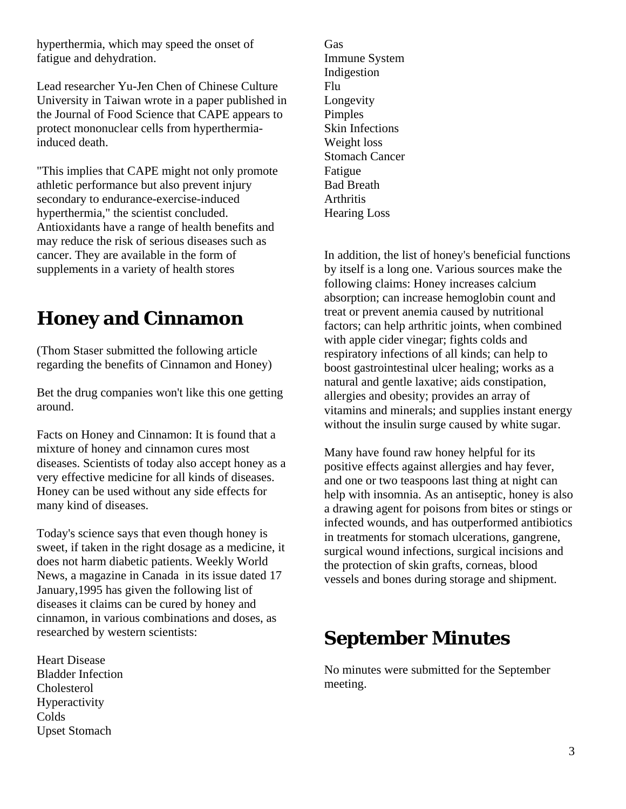hyperthermia, which may speed the onset of fatigue and dehydration.

Lead researcher Yu-Jen Chen of Chinese Culture University in Taiwan wrote in a paper published in the Journal of Food Science that CAPE appears to protect mononuclear cells from hyperthermiainduced death.

"This implies that CAPE might not only promote athletic performance but also prevent injury secondary to endurance-exercise-induced hyperthermia," the scientist concluded. Antioxidants have a range of health benefits and may reduce the risk of serious diseases such as cancer. They are available in the form of supplements in a variety of health stores

## **Honey and Cinnamon**

(Thom Staser submitted the following article regarding the benefits of Cinnamon and Honey)

Bet the drug companies won't like this one getting around.

Facts on Honey and Cinnamon: It is found that a mixture of honey and cinnamon cures most diseases. Scientists of today also accept honey as a very effective medicine for all kinds of diseases. Honey can be used without any side effects for many kind of diseases.

Today's science says that even though honey is sweet, if taken in the right dosage as a medicine, it does not harm diabetic patients. Weekly World News, a magazine in Canada in its issue dated 17 January,1995 has given the following list of diseases it claims can be cured by honey and cinnamon, in various combinations and doses, as researched by western scientists:

Heart Disease Bladder Infection Cholesterol Hyperactivity Colds Upset Stomach

Gas Immune System Indigestion Flu Longevity Pimples Skin Infections Weight loss Stomach Cancer Fatigue Bad Breath **Arthritis** Hearing Loss

In addition, the list of honey's beneficial functions by itself is a long one. Various sources make the following claims: Honey increases calcium absorption; can increase hemoglobin count and treat or prevent anemia caused by nutritional factors; can help arthritic joints, when combined with apple cider vinegar; fights colds and respiratory infections of all kinds; can help to boost gastrointestinal ulcer healing; works as a natural and gentle laxative; aids constipation, allergies and obesity; provides an array of vitamins and minerals; and supplies instant energy without the insulin surge caused by white sugar.

Many have found raw honey helpful for its positive effects against allergies and hay fever, and one or two teaspoons last thing at night can help with insomnia. As an antiseptic, honey is also a drawing agent for poisons from bites or stings or infected wounds, and has outperformed antibiotics in treatments for stomach ulcerations, gangrene, surgical wound infections, surgical incisions and the protection of skin grafts, corneas, blood vessels and bones during storage and shipment.

# **September Minutes**

No minutes were submitted for the September meeting.